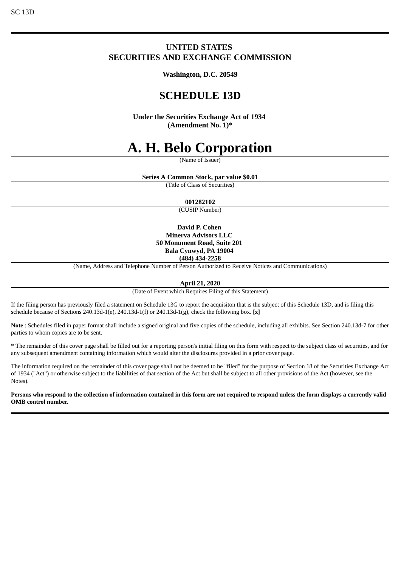# SC 13D

# **UNITED STATES SECURITIES AND EXCHANGE COMMISSION**

**Washington, D.C. 20549**

# **SCHEDULE 13D**

**Under the Securities Exchange Act of 1934 (Amendment No. 1)\***

# **A. H. Belo Corporation**

(Name of Issuer)

**Series A Common Stock, par value \$0.01**

(Title of Class of Securities)

## **001282102**

(CUSIP Number)

**David P. Cohen Minerva Advisors LLC 50 Monument Road, Suite 201 Bala Cynwyd, PA 19004 (484) 434-2258**

(Name, Address and Telephone Number of Person Authorized to Receive Notices and Communications)

#### **April 21, 2020**

(Date of Event which Requires Filing of this Statement)

If the filing person has previously filed a statement on Schedule 13G to report the acquisiton that is the subject of this Schedule 13D, and is filing this schedule because of Sections 240.13d-1(e), 240.13d-1(f) or 240.13d-1(g), check the following box. **[x]**

Note : Schedules filed in paper format shall include a signed original and five copies of the schedule, including all exhibits. See Section 240.13d-7 for other parties to whom copies are to be sent.

\* The remainder of this cover page shall be filled out for a reporting person's initial filing on this form with respect to the subject class of securities, and for any subsequent amendment containing information which would alter the disclosures provided in a prior cover page.

The information required on the remainder of this cover page shall not be deemed to be "filed" for the purpose of Section 18 of the Securities Exchange Act of 1934 ("Act") or otherwise subject to the liabilities of that section of the Act but shall be subject to all other provisions of the Act (however, see the Notes).

Persons who respond to the collection of information contained in this form are not required to respond unless the form displays a currently valid **OMB control number.**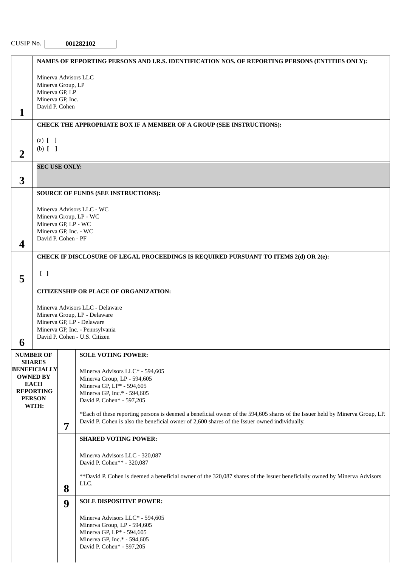|                     |                                                           |   | NAMES OF REPORTING PERSONS AND I.R.S. IDENTIFICATION NOS. OF REPORTING PERSONS (ENTITIES ONLY):                                   |  |  |
|---------------------|-----------------------------------------------------------|---|-----------------------------------------------------------------------------------------------------------------------------------|--|--|
|                     |                                                           |   |                                                                                                                                   |  |  |
|                     | Minerva Advisors LLC<br>Minerva Group, LP                 |   |                                                                                                                                   |  |  |
|                     | Minerva GP, LP<br>Minerva GP, Inc.                        |   |                                                                                                                                   |  |  |
|                     | David P. Cohen                                            |   |                                                                                                                                   |  |  |
| 1                   |                                                           |   |                                                                                                                                   |  |  |
|                     |                                                           |   | CHECK THE APPROPRIATE BOX IF A MEMBER OF A GROUP (SEE INSTRUCTIONS):                                                              |  |  |
|                     | (a) $[ \ ]$                                               |   |                                                                                                                                   |  |  |
| $\overline{2}$      | $(b)$ $[$ $]$                                             |   |                                                                                                                                   |  |  |
|                     | <b>SEC USE ONLY:</b>                                      |   |                                                                                                                                   |  |  |
| 3                   |                                                           |   |                                                                                                                                   |  |  |
|                     |                                                           |   | SOURCE OF FUNDS (SEE INSTRUCTIONS):                                                                                               |  |  |
|                     |                                                           |   |                                                                                                                                   |  |  |
|                     | Minerva Advisors LLC - WC<br>Minerva Group, LP - WC       |   |                                                                                                                                   |  |  |
| Minerva GP, LP - WC |                                                           |   |                                                                                                                                   |  |  |
|                     | Minerva GP, Inc. - WC<br>David P. Cohen - PF              |   |                                                                                                                                   |  |  |
| $\boldsymbol{4}$    |                                                           |   |                                                                                                                                   |  |  |
|                     |                                                           |   | CHECK IF DISCLOSURE OF LEGAL PROCEEDINGS IS REQUIRED PURSUANT TO ITEMS 2(d) OR 2(e):                                              |  |  |
|                     | $\begin{bmatrix} 1 \end{bmatrix}$                         |   |                                                                                                                                   |  |  |
| 5                   |                                                           |   |                                                                                                                                   |  |  |
|                     | <b>CITIZENSHIP OR PLACE OF ORGANIZATION:</b>              |   |                                                                                                                                   |  |  |
|                     |                                                           |   | Minerva Advisors LLC - Delaware                                                                                                   |  |  |
|                     | Minerva Group, LP - Delaware<br>Minerva GP, LP - Delaware |   |                                                                                                                                   |  |  |
|                     | Minerva GP, Inc. - Pennsylvania                           |   |                                                                                                                                   |  |  |
| 6                   | David P. Cohen - U.S. Citizen                             |   |                                                                                                                                   |  |  |
|                     | <b>NUMBER OF</b>                                          |   | <b>SOLE VOTING POWER:</b>                                                                                                         |  |  |
|                     | <b>SHARES</b><br><b>BENEFICIALLY</b>                      |   |                                                                                                                                   |  |  |
|                     | <b>OWNED BY</b>                                           |   | Minerva Advisors LLC* - 594,605<br>Minerva Group, LP - 594,605                                                                    |  |  |
|                     | <b>EACH</b><br><b>REPORTING</b>                           |   | Minerva GP, LP* - 594,605<br>Minerva GP, Inc.* - 594,605                                                                          |  |  |
|                     | <b>PERSON</b>                                             |   | David P. Cohen* - 597,205                                                                                                         |  |  |
|                     | WITH:                                                     |   | *Each of these reporting persons is deemed a beneficial owner of the 594,605 shares of the Issuer held by Minerva Group, LP.      |  |  |
|                     |                                                           | 7 | David P. Cohen is also the beneficial owner of 2,600 shares of the Issuer owned individually.                                     |  |  |
|                     |                                                           |   | <b>SHARED VOTING POWER:</b>                                                                                                       |  |  |
|                     |                                                           |   |                                                                                                                                   |  |  |
|                     |                                                           |   | Minerva Advisors LLC - 320,087<br>David P. Cohen** - 320,087                                                                      |  |  |
|                     |                                                           |   |                                                                                                                                   |  |  |
|                     |                                                           |   | ** David P. Cohen is deemed a beneficial owner of the 320,087 shares of the Issuer beneficially owned by Minerva Advisors<br>LLC. |  |  |
|                     |                                                           | 8 |                                                                                                                                   |  |  |
|                     |                                                           | 9 | <b>SOLE DISPOSITIVE POWER:</b>                                                                                                    |  |  |
|                     |                                                           |   | Minerva Advisors LLC* - 594,605                                                                                                   |  |  |
|                     |                                                           |   | Minerva Group, LP - 594,605<br>Minerva GP, LP* - 594,605                                                                          |  |  |
|                     |                                                           |   | Minerva GP, Inc.* - 594,605                                                                                                       |  |  |
|                     |                                                           |   | David P. Cohen* - 597,205                                                                                                         |  |  |
|                     |                                                           |   |                                                                                                                                   |  |  |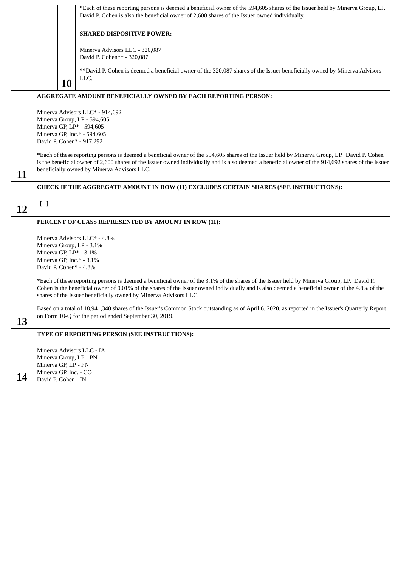|    |                                                                                                                                                                                                                                                                                                                                                  | *Each of these reporting persons is deemed a beneficial owner of the 594,605 shares of the Issuer held by Minerva Group, LP.<br>David P. Cohen is also the beneficial owner of 2,600 shares of the Issuer owned individually.                                                                                                                                   |  |
|----|--------------------------------------------------------------------------------------------------------------------------------------------------------------------------------------------------------------------------------------------------------------------------------------------------------------------------------------------------|-----------------------------------------------------------------------------------------------------------------------------------------------------------------------------------------------------------------------------------------------------------------------------------------------------------------------------------------------------------------|--|
|    |                                                                                                                                                                                                                                                                                                                                                  | <b>SHARED DISPOSITIVE POWER:</b>                                                                                                                                                                                                                                                                                                                                |  |
|    |                                                                                                                                                                                                                                                                                                                                                  | Minerva Advisors LLC - 320,087<br>David P. Cohen** - 320,087                                                                                                                                                                                                                                                                                                    |  |
|    |                                                                                                                                                                                                                                                                                                                                                  | ** David P. Cohen is deemed a beneficial owner of the 320,087 shares of the Issuer beneficially owned by Minerva Advisors<br>LLC.<br><b>10</b>                                                                                                                                                                                                                  |  |
|    |                                                                                                                                                                                                                                                                                                                                                  | AGGREGATE AMOUNT BENEFICIALLY OWNED BY EACH REPORTING PERSON:                                                                                                                                                                                                                                                                                                   |  |
|    | Minerva Advisors LLC* - 914,692<br>Minerva Group, LP - 594,605<br>Minerva GP, LP* - 594,605<br>Minerva GP, Inc.* - 594,605<br>David P. Cohen* - 917,292                                                                                                                                                                                          |                                                                                                                                                                                                                                                                                                                                                                 |  |
| 11 | *Each of these reporting persons is deemed a beneficial owner of the 594,605 shares of the Issuer held by Minerva Group, LP. David P. Cohen<br>is the beneficial owner of 2,600 shares of the Issuer owned individually and is also deemed a beneficial owner of the 914,692 shares of the Issuer<br>beneficially owned by Minerva Advisors LLC. |                                                                                                                                                                                                                                                                                                                                                                 |  |
|    | CHECK IF THE AGGREGATE AMOUNT IN ROW (11) EXCLUDES CERTAIN SHARES (SEE INSTRUCTIONS):                                                                                                                                                                                                                                                            |                                                                                                                                                                                                                                                                                                                                                                 |  |
| 12 | $\begin{bmatrix} 1 \end{bmatrix}$                                                                                                                                                                                                                                                                                                                |                                                                                                                                                                                                                                                                                                                                                                 |  |
|    | PERCENT OF CLASS REPRESENTED BY AMOUNT IN ROW (11):                                                                                                                                                                                                                                                                                              |                                                                                                                                                                                                                                                                                                                                                                 |  |
|    | Minerva Advisors LLC* - 4.8%<br>Minerva Group, LP - 3.1%<br>Minerva GP, LP* - 3.1%<br>Minerva GP, Inc.* - 3.1%<br>David P. Cohen* - 4.8%                                                                                                                                                                                                         |                                                                                                                                                                                                                                                                                                                                                                 |  |
|    |                                                                                                                                                                                                                                                                                                                                                  | *Each of these reporting persons is deemed a beneficial owner of the 3.1% of the shares of the Issuer held by Minerva Group, LP. David P.<br>Cohen is the beneficial owner of 0.01% of the shares of the Issuer owned individually and is also deemed a beneficial owner of the 4.8% of the<br>shares of the Issuer beneficially owned by Minerva Advisors LLC. |  |
| 13 | Based on a total of 18,941,340 shares of the Issuer's Common Stock outstanding as of April 6, 2020, as reported in the Issuer's Quarterly Report<br>on Form 10-Q for the period ended September 30, 2019.                                                                                                                                        |                                                                                                                                                                                                                                                                                                                                                                 |  |
|    |                                                                                                                                                                                                                                                                                                                                                  | TYPE OF REPORTING PERSON (SEE INSTRUCTIONS):                                                                                                                                                                                                                                                                                                                    |  |
|    | Minerva Advisors LLC - IA<br>Minerva Group, LP - PN<br>Minerva GP, LP - PN                                                                                                                                                                                                                                                                       |                                                                                                                                                                                                                                                                                                                                                                 |  |
| 14 | Minerva GP, Inc. - CO<br>David P. Cohen - IN                                                                                                                                                                                                                                                                                                     |                                                                                                                                                                                                                                                                                                                                                                 |  |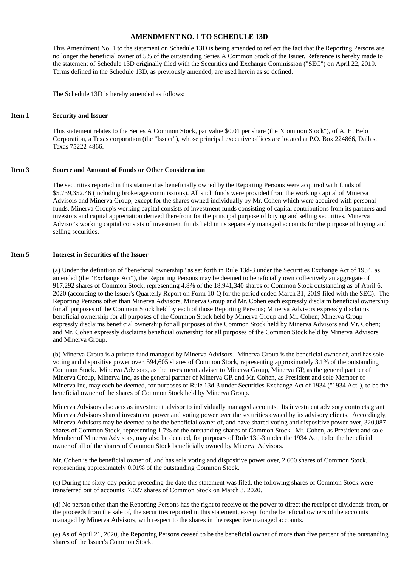### **AMENDMENT NO. 1 TO SCHEDULE 13D**

This Amendment No. 1 to the statement on Schedule 13D is being amended to reflect the fact that the Reporting Persons are no longer the beneficial owner of 5% of the outstanding Series A Common Stock of the Issuer. Reference is hereby made to the statement of Schedule 13D originally filed with the Securities and Exchange Commission ("SEC") on April 22, 2019. Terms defined in the Schedule 13D, as previously amended, are used herein as so defined.

The Schedule 13D is hereby amended as follows:

#### **Item 1 Security and Issuer**

This statement relates to the Series A Common Stock, par value \$0.01 per share (the "Common Stock"), of A. H. Belo Corporation, a Texas corporation (the "Issuer"), whose principal executive offices are located at P.O. Box 224866, Dallas, Texas 75222-4866.

#### **Item 3 Source and Amount of Funds or Other Consideration**

The securities reported in this statment as beneficially owned by the Reporting Persons were acquired with funds of \$5,739,352.46 (including brokerage commissions). All such funds were provided from the working capital of Minerva Advisors and Minerva Group, except for the shares owned individually by Mr. Cohen which were acquired with personal funds. Minerva Group's working capital consists of investment funds consisting of capital contributions from its partners and investors and capital appreciation derived therefrom for the principal purpose of buying and selling securities. Minerva Advisor's working capital consists of investment funds held in its separately managed accounts for the purpose of buying and selling securities.

#### **Item 5 Interest in Securities of the Issuer**

(a) Under the definition of "beneficial ownership" as set forth in Rule 13d-3 under the Securities Exchange Act of 1934, as amended (the "Exchange Act"), the Reporting Persons may be deemed to beneficially own collectively an aggregate of 917,292 shares of Common Stock, representing 4.8% of the 18,941,340 shares of Common Stock outstanding as of April 6, 2020 (according to the Issuer's Quarterly Report on Form 10-Q for the period ended March 31, 2019 filed with the SEC). The Reporting Persons other than Minerva Advisors, Minerva Group and Mr. Cohen each expressly disclaim beneficial ownership for all purposes of the Common Stock held by each of those Reporting Persons; Minerva Advisors expressly disclaims beneficial ownership for all purposes of the Common Stock held by Minerva Group and Mr. Cohen; Minerva Group expressly disclaims beneficial ownership for all purposes of the Common Stock held by Minerva Advisors and Mr. Cohen; and Mr. Cohen expressly disclaims beneficial ownership for all purposes of the Common Stock held by Minerva Advisors and Minerva Group.

(b) Minerva Group is a private fund managed by Minerva Advisors. Minerva Group is the beneficial owner of, and has sole voting and dispositive power over, 594,605 shares of Common Stock, representing approximately 3.1% of the outstanding Common Stock. Minerva Advisors, as the investment adviser to Minerva Group, Minerva GP, as the general partner of Minerva Group, Minerva Inc, as the general partner of Minerva GP, and Mr. Cohen, as President and sole Member of Minerva Inc, may each be deemed, for purposes of Rule 13d-3 under Securities Exchange Act of 1934 ("1934 Act"), to be the beneficial owner of the shares of Common Stock held by Minerva Group.

Minerva Advisors also acts as investment advisor to individually managed accounts. Its investment advisory contracts grant Minerva Advisors shared investment power and voting power over the securities owned by its advisory clients. Accordingly, Minerva Advisors may be deemed to be the beneficial owner of, and have shared voting and dispositive power over, 320,087 shares of Common Stock, representing 1.7% of the outstanding shares of Common Stock. Mr. Cohen, as President and sole Member of Minerva Advisors, may also be deemed, for purposes of Rule 13d-3 under the 1934 Act, to be the beneficial owner of all of the shares of Common Stock beneficially owned by Minerva Advisors.

Mr. Cohen is the beneficial owner of, and has sole voting and dispositive power over, 2,600 shares of Common Stock, representing approximately 0.01% of the outstanding Common Stock.

(c) During the sixty-day period preceding the date this statement was filed, the following shares of Common Stock were transferred out of accounts: 7,027 shares of Common Stock on March 3, 2020.

(d) No person other than the Reporting Persons has the right to receive or the power to direct the receipt of dividends from, or the proceeds from the sale of, the securities reported in this statement, except for the beneficial owners of the accounts managed by Minerva Advisors, with respect to the shares in the respective managed accounts.

(e) As of April 21, 2020, the Reporting Persons ceased to be the beneficial owner of more than five percent of the outstanding shares of the Issuer's Common Stock.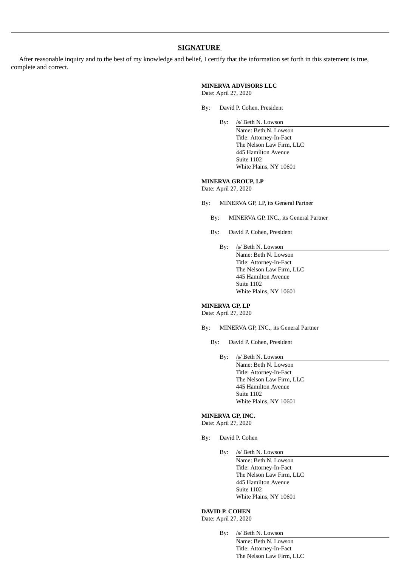# **SIGNATURE**

After reasonable inquiry and to the best of my knowledge and belief, I certify that the information set forth in this statement is true, complete and correct.

#### **MINERVA ADVISORS LLC**

Date: April 27, 2020

- By: David P. Cohen, President
	- By: /s/ Beth N. Lowson
		- Name: Beth N. Lowson Title: Attorney-In-Fact The Nelson Law Firm, LLC 445 Hamilton Avenue Suite 1102 White Plains, NY 10601

#### **MINERVA GROUP, LP**

Date: April 27, 2020

- By: MINERVA GP, LP, its General Partner
	- By: MINERVA GP, INC., its General Partner
	- By: David P. Cohen, President
		- By: /s/ Beth N. Lowson
			- Name: Beth N. Lowson Title: Attorney-In-Fact The Nelson Law Firm, LLC 445 Hamilton Avenue Suite 1102 White Plains, NY 10601

#### **MINERVA GP, LP**

Date: April 27, 2020

- By: MINERVA GP, INC., its General Partner
	- By: David P. Cohen, President
		- By: /s/ Beth N. Lowson Name: Beth N. Lowson Title: Attorney-In-Fact The Nelson Law Firm, LLC 445 Hamilton Avenue Suite 1102 White Plains, NY 10601

#### **MINERVA GP, INC.**

Date: April 27, 2020

- By: David P. Cohen
	- By: /s/ Beth N. Lowson

Name: Beth N. Lowson Title: Attorney-In-Fact The Nelson Law Firm, LLC 445 Hamilton Avenue Suite 1102 White Plains, NY 10601

# **DAVID P. COHEN**

Date: April 27, 2020

By: /s/ Beth N. Lowson Name: Beth N. Lowson Title: Attorney-In-Fact The Nelson Law Firm, LLC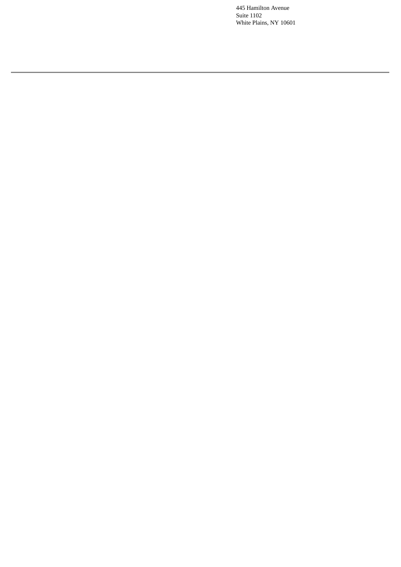445 Hamilton Avenue Suite 1102 White Plains, NY 10601